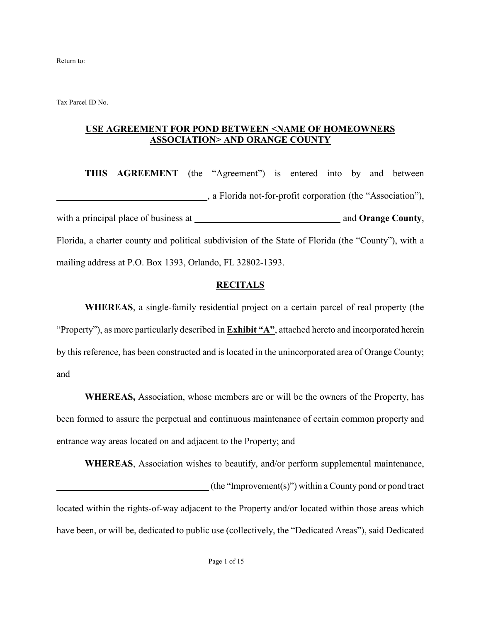Return to:

Tax Parcel ID No.

#### **USE AGREEMENT FOR POND BETWEEN <NAME OF HOMEOWNERS ASSOCIATION> AND ORANGE COUNTY**

**THIS AGREEMENT** (the "Agreement") is entered into by and between **\_\_\_\_\_\_\_\_\_\_\_\_\_\_\_\_\_\_\_\_\_\_\_\_\_\_\_\_\_\_\_\_**, a Florida not-for-profit corporation (the "Association"), with a principal place of business at \_\_\_\_\_\_\_\_\_\_\_\_\_\_\_\_\_\_\_\_\_\_\_\_\_\_\_\_\_\_\_ and **Orange County**, Florida, a charter county and political subdivision of the State of Florida (the "County"), with a mailing address at P.O. Box 1393, Orlando, FL 32802-1393.

#### **RECITALS**

**WHEREAS**, a single-family residential project on a certain parcel of real property (the "Property"), as more particularly described in **Exhibit "A"**, attached hereto and incorporated herein by this reference, has been constructed and is located in the unincorporated area of Orange County; and

**WHEREAS,** Association, whose members are or will be the owners of the Property, has been formed to assure the perpetual and continuous maintenance of certain common property and entrance way areas located on and adjacent to the Property; and

**WHEREAS**, Association wishes to beautify, and/or perform supplemental maintenance, **\_\_\_\_\_\_\_\_\_\_\_\_\_\_\_\_\_\_\_\_\_\_\_\_\_\_\_\_\_\_\_\_\_** (the "Improvement(s)") within a County pond or pond tract located within the rights-of-way adjacent to the Property and/or located within those areas which have been, or will be, dedicated to public use (collectively, the "Dedicated Areas"), said Dedicated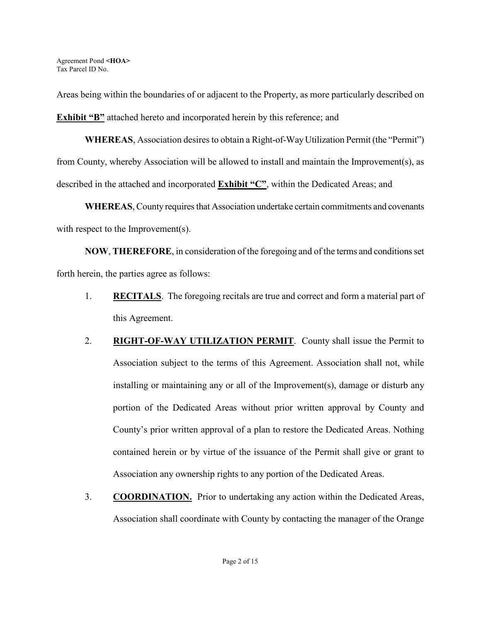Areas being within the boundaries of or adjacent to the Property, as more particularly described on **Exhibit "B"** attached hereto and incorporated herein by this reference; and

**WHEREAS**, Association desires to obtain a Right-of-Way Utilization Permit (the "Permit") from County, whereby Association will be allowed to install and maintain the Improvement(s), as described in the attached and incorporated **Exhibit "C"**, within the Dedicated Areas; and

**WHEREAS**, County requires that Association undertake certain commitments and covenants with respect to the Improvement(s).

**NOW**, **THEREFORE**, in consideration of the foregoing and of the terms and conditions set forth herein, the parties agree as follows:

- 1. **RECITALS**. The foregoing recitals are true and correct and form a material part of this Agreement.
- 2. **RIGHT-OF-WAY UTILIZATION PERMIT.** County shall issue the Permit to Association subject to the terms of this Agreement. Association shall not, while installing or maintaining any or all of the Improvement(s), damage or disturb any portion of the Dedicated Areas without prior written approval by County and County's prior written approval of a plan to restore the Dedicated Areas. Nothing contained herein or by virtue of the issuance of the Permit shall give or grant to Association any ownership rights to any portion of the Dedicated Areas.
- 3. **COORDINATION.** Prior to undertaking any action within the Dedicated Areas, Association shall coordinate with County by contacting the manager of the Orange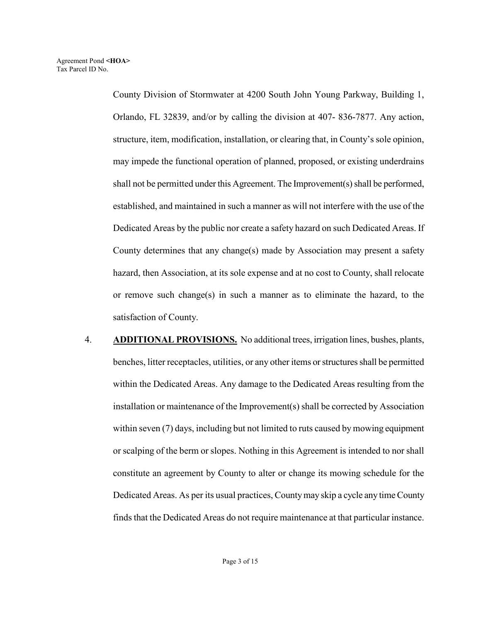County Division of Stormwater at 4200 South John Young Parkway, Building 1, Orlando, FL 32839, and/or by calling the division at 407- 836-7877. Any action, structure, item, modification, installation, or clearing that, in County's sole opinion, may impede the functional operation of planned, proposed, or existing underdrains shall not be permitted under this Agreement. The Improvement(s) shall be performed, established, and maintained in such a manner as will not interfere with the use of the Dedicated Areas by the public nor create a safety hazard on such Dedicated Areas. If County determines that any change(s) made by Association may present a safety hazard, then Association, at its sole expense and at no cost to County, shall relocate or remove such change(s) in such a manner as to eliminate the hazard, to the satisfaction of County.

4. **ADDITIONAL PROVISIONS.** No additional trees, irrigation lines, bushes, plants, benches, litter receptacles, utilities, or any other items or structures shall be permitted within the Dedicated Areas. Any damage to the Dedicated Areas resulting from the installation or maintenance of the Improvement(s) shall be corrected by Association within seven (7) days, including but not limited to ruts caused by mowing equipment or scalping of the berm or slopes. Nothing in this Agreement is intended to nor shall constitute an agreement by County to alter or change its mowing schedule for the Dedicated Areas. As per its usual practices, County may skip a cycle any time County finds that the Dedicated Areas do not require maintenance at that particular instance.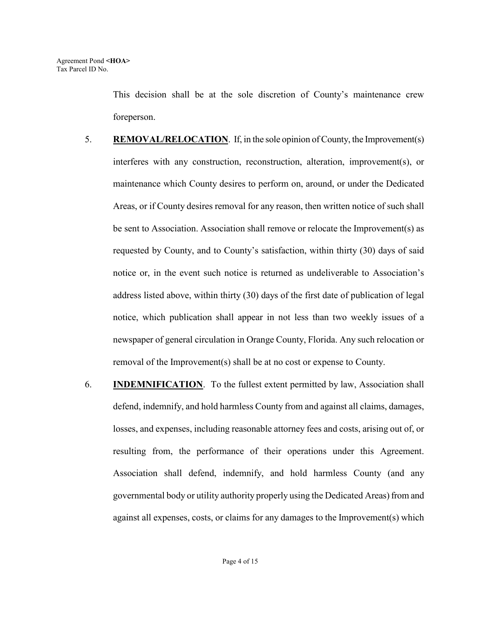This decision shall be at the sole discretion of County's maintenance crew foreperson.

- 5. **REMOVAL/RELOCATION**. If, in the sole opinion of County, the Improvement(s) interferes with any construction, reconstruction, alteration, improvement(s), or maintenance which County desires to perform on, around, or under the Dedicated Areas, or if County desires removal for any reason, then written notice of such shall be sent to Association. Association shall remove or relocate the Improvement(s) as requested by County, and to County's satisfaction, within thirty (30) days of said notice or, in the event such notice is returned as undeliverable to Association's address listed above, within thirty (30) days of the first date of publication of legal notice, which publication shall appear in not less than two weekly issues of a newspaper of general circulation in Orange County, Florida. Any such relocation or removal of the Improvement(s) shall be at no cost or expense to County.
- 6. **INDEMNIFICATION**. To the fullest extent permitted by law, Association shall defend, indemnify, and hold harmless County from and against all claims, damages, losses, and expenses, including reasonable attorney fees and costs, arising out of, or resulting from, the performance of their operations under this Agreement. Association shall defend, indemnify, and hold harmless County (and any governmental body or utility authority properly using the Dedicated Areas) from and against all expenses, costs, or claims for any damages to the Improvement(s) which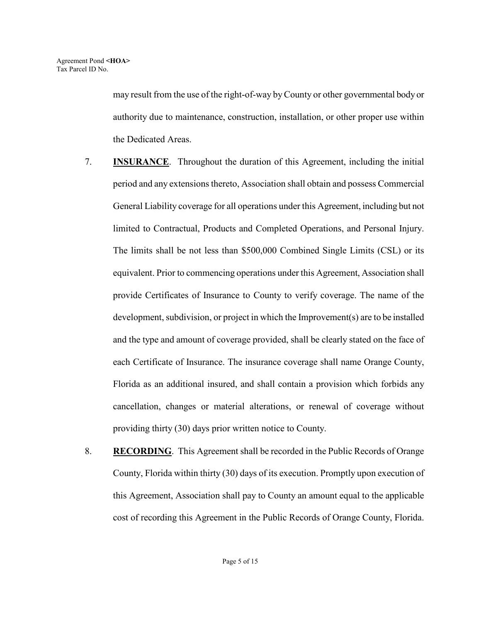may result from the use of the right-of-way by County or other governmental body or authority due to maintenance, construction, installation, or other proper use within the Dedicated Areas.

- 7. **INSURANCE**. Throughout the duration of this Agreement, including the initial period and any extensions thereto, Association shall obtain and possess Commercial General Liability coverage for all operations under this Agreement, including but not limited to Contractual, Products and Completed Operations, and Personal Injury. The limits shall be not less than \$500,000 Combined Single Limits (CSL) or its equivalent. Prior to commencing operations under this Agreement, Association shall provide Certificates of Insurance to County to verify coverage. The name of the development, subdivision, or project in which the Improvement(s) are to be installed and the type and amount of coverage provided, shall be clearly stated on the face of each Certificate of Insurance. The insurance coverage shall name Orange County, Florida as an additional insured, and shall contain a provision which forbids any cancellation, changes or material alterations, or renewal of coverage without providing thirty (30) days prior written notice to County.
- 8. **RECORDING**. This Agreement shall be recorded in the Public Records of Orange County, Florida within thirty (30) days of its execution. Promptly upon execution of this Agreement, Association shall pay to County an amount equal to the applicable cost of recording this Agreement in the Public Records of Orange County, Florida.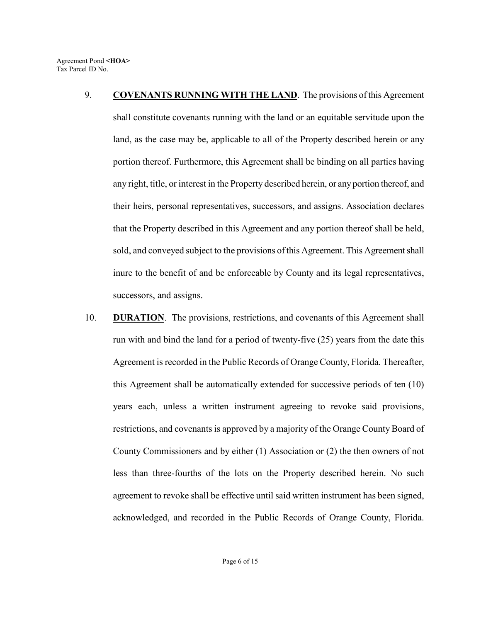- 9. **COVENANTS RUNNING WITH THE LAND**. The provisions of this Agreement shall constitute covenants running with the land or an equitable servitude upon the land, as the case may be, applicable to all of the Property described herein or any portion thereof. Furthermore, this Agreement shall be binding on all parties having any right, title, or interest in the Property described herein, or any portion thereof, and their heirs, personal representatives, successors, and assigns. Association declares that the Property described in this Agreement and any portion thereof shall be held, sold, and conveyed subject to the provisions of this Agreement. This Agreement shall inure to the benefit of and be enforceable by County and its legal representatives, successors, and assigns.
- 10. **DURATION**. The provisions, restrictions, and covenants of this Agreement shall run with and bind the land for a period of twenty-five (25) years from the date this Agreement is recorded in the Public Records of Orange County, Florida. Thereafter, this Agreement shall be automatically extended for successive periods of ten (10) years each, unless a written instrument agreeing to revoke said provisions, restrictions, and covenants is approved by a majority of the Orange County Board of County Commissioners and by either (1) Association or (2) the then owners of not less than three-fourths of the lots on the Property described herein. No such agreement to revoke shall be effective until said written instrument has been signed, acknowledged, and recorded in the Public Records of Orange County, Florida.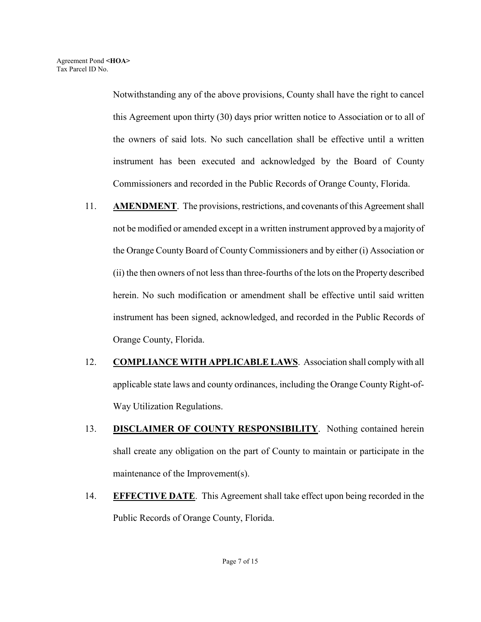Notwithstanding any of the above provisions, County shall have the right to cancel this Agreement upon thirty (30) days prior written notice to Association or to all of the owners of said lots. No such cancellation shall be effective until a written instrument has been executed and acknowledged by the Board of County Commissioners and recorded in the Public Records of Orange County, Florida.

- 11. **AMENDMENT**. The provisions, restrictions, and covenants of this Agreement shall not be modified or amended except in a written instrument approved by a majority of the Orange County Board of County Commissioners and by either (i) Association or (ii) the then owners of not less than three-fourths of the lots on the Property described herein. No such modification or amendment shall be effective until said written instrument has been signed, acknowledged, and recorded in the Public Records of Orange County, Florida.
- 12. **COMPLIANCE WITH APPLICABLE LAWS**. Association shall comply with all applicable state laws and county ordinances, including the Orange County Right-of-Way Utilization Regulations.
- 13. **DISCLAIMER OF COUNTY RESPONSIBILITY**. Nothing contained herein shall create any obligation on the part of County to maintain or participate in the maintenance of the Improvement(s).
- 14. **EFFECTIVE DATE**. This Agreement shall take effect upon being recorded in the Public Records of Orange County, Florida.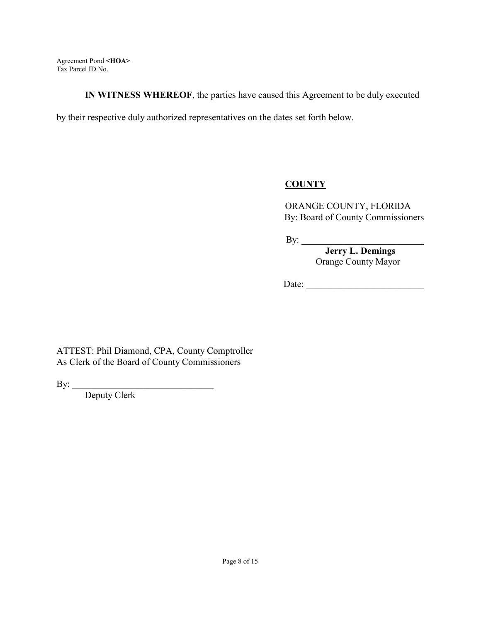**IN WITNESS WHEREOF**, the parties have caused this Agreement to be duly executed

by their respective duly authorized representatives on the dates set forth below.

## **COUNTY**

ORANGE COUNTY, FLORIDA By: Board of County Commissioners

By: \_\_\_\_\_\_\_\_\_\_\_\_\_\_\_\_\_\_\_\_\_\_\_\_\_\_

 **Jerry L. Demings** Orange County Mayor

 $Date:$ 

ATTEST: Phil Diamond, CPA, County Comptroller As Clerk of the Board of County Commissioners

By:

Deputy Clerk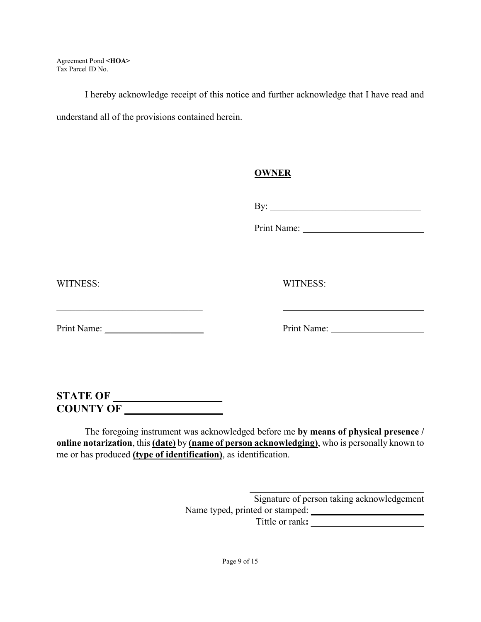I hereby acknowledge receipt of this notice and further acknowledge that I have read and understand all of the provisions contained herein.

## **OWNER**

By: \_\_\_\_\_\_\_\_\_\_\_\_\_\_\_\_\_\_\_\_\_\_\_\_\_\_\_\_\_\_\_\_

Print Name: 1988

WITNESS: WITNESS:

Print Name: \_\_\_\_\_\_\_\_\_\_\_\_\_\_\_\_\_\_\_\_\_ Print Name:

# **STATE OF \_\_\_\_\_\_\_\_\_\_\_\_\_\_\_\_\_\_\_\_ COUNTY OF \_\_\_\_\_\_\_\_\_\_\_\_\_\_\_\_\_\_**

The foregoing instrument was acknowledged before me **by means of physical presence / online notarization**, this **(date)** by **(name of person acknowledging)**, who is personally known to me or has produced **(type of identification)**, as identification.

> $\mathcal{L}_\text{max}$  and  $\mathcal{L}_\text{max}$  and  $\mathcal{L}_\text{max}$  and  $\mathcal{L}_\text{max}$ Signature of person taking acknowledgement Name typed, printed or stamped: **\_\_\_\_\_\_\_\_\_\_\_\_\_\_\_\_\_\_\_\_\_** Tittle or rank**: \_\_\_\_\_\_\_\_\_\_\_\_\_\_\_\_\_\_\_\_\_\_\_\_**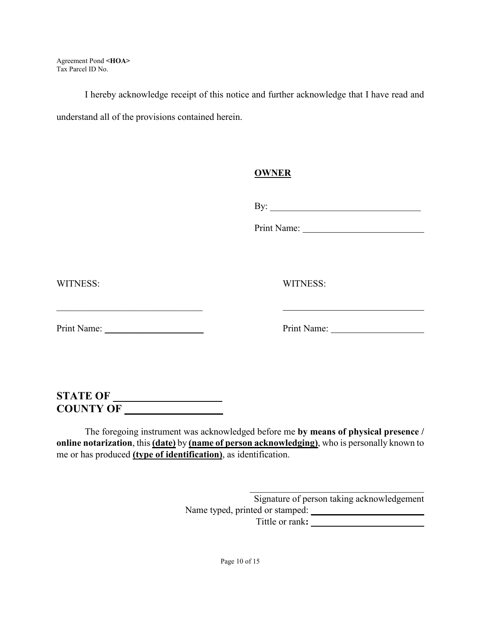I hereby acknowledge receipt of this notice and further acknowledge that I have read and understand all of the provisions contained herein.

## **OWNER**

By: \_\_\_\_\_\_\_\_\_\_\_\_\_\_\_\_\_\_\_\_\_\_\_\_\_\_\_\_\_\_\_\_

Print Name:

WITNESS: WITNESS:

Print Name: \_\_\_\_\_\_\_\_\_\_\_\_\_\_\_\_\_\_\_\_\_ Print Name:

# **STATE OF \_\_\_\_\_\_\_\_\_\_\_\_\_\_\_\_\_\_\_\_ COUNTY OF \_\_\_\_\_\_\_\_\_\_\_\_\_\_\_\_\_\_**

The foregoing instrument was acknowledged before me **by means of physical presence / online notarization**, this **(date)** by **(name of person acknowledging)**, who is personally known to me or has produced **(type of identification)**, as identification.

> $\mathcal{L}_\text{max}$  and  $\mathcal{L}_\text{max}$  and  $\mathcal{L}_\text{max}$  and  $\mathcal{L}_\text{max}$ Signature of person taking acknowledgement Name typed, printed or stamped: **\_\_\_\_\_\_\_\_\_\_\_\_\_\_\_\_\_\_\_\_\_\_** Tittle or rank**: \_\_\_\_\_\_\_\_\_\_\_\_\_\_\_\_\_\_\_\_\_\_\_\_**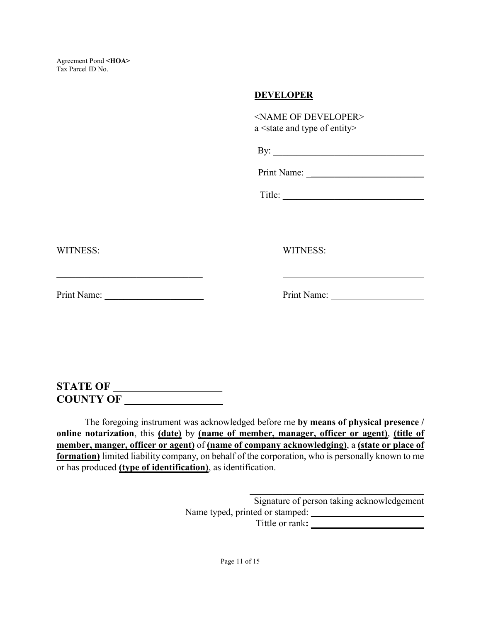#### **DEVELOPER**

|          | <name developer="" of=""><br/>a <state and="" entity="" of="" type=""></state></name> |
|----------|---------------------------------------------------------------------------------------|
|          | By: $\qquad \qquad$                                                                   |
|          |                                                                                       |
|          |                                                                                       |
|          |                                                                                       |
| WITNESS: | WITNESS:                                                                              |
|          |                                                                                       |

# WITNESS:

**STATE OF \_\_\_\_\_\_\_\_\_\_\_\_\_\_\_\_\_\_\_\_ COUNTY OF \_\_\_\_\_\_\_\_\_\_\_\_\_\_\_\_\_\_** 

The foregoing instrument was acknowledged before me **by means of physical presence / online notarization**, this **(date)** by **(name of member, manager, officer or agent)**, **(title of member, manger, officer or agent)** of **(name of company acknowledging)**, a **(state or place of formation)** limited liability company, on behalf of the corporation, who is personally known to me or has produced **(type of identification)**, as identification.

> Signature of person taking acknowledgement Name typed, printed or stamped: Tittle or rank**: \_\_\_\_\_\_\_\_\_\_\_\_\_\_\_\_\_\_\_\_\_\_\_\_**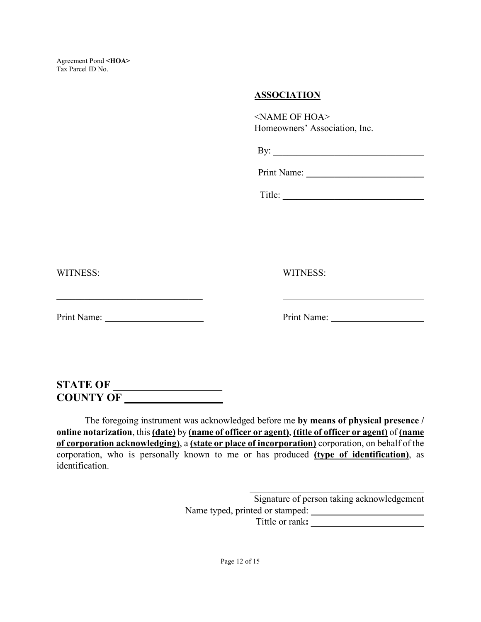#### **ASSOCIATION**

<NAME OF HOA> Homeowners' Association, Inc.

Print Name:

Title:

WITNESS: WITNESS:

Print Name: \_\_\_\_\_\_\_\_\_\_\_\_\_\_\_\_\_\_\_\_\_ Print Name:

 $\mathcal{L}_\text{max}$  , and the set of the set of the set of the set of the set of the set of the set of the set of the set of the set of the set of the set of the set of the set of the set of the set of the set of the set of the

# **STATE OF \_\_\_\_\_\_\_\_\_\_\_\_\_\_\_\_\_\_\_\_ COUNTY OF \_\_\_\_\_\_\_\_\_\_\_\_\_\_\_\_\_\_**

The foregoing instrument was acknowledged before me **by means of physical presence / online notarization**, this **(date)** by **(name of officer or agent)**, **(title of officer or agent)** of **(name of corporation acknowledging)**, a **(state or place of incorporation)** corporation, on behalf of the corporation, who is personally known to me or has produced **(type of identification)**, as identification.

> Signature of person taking acknowledgement Name typed, printed or stamped: **\_\_\_\_\_\_\_\_\_\_\_\_\_\_\_\_\_\_\_\_\_\_\_\_**  Tittle or rank**: \_\_\_\_\_\_\_\_\_\_\_\_\_\_\_\_\_\_\_\_\_\_\_\_**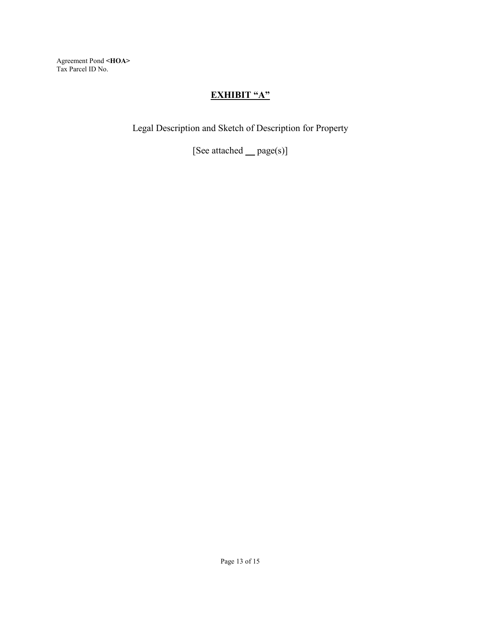# **EXHIBIT "A"**

Legal Description and Sketch of Description for Property

[See attached **\_\_** page(s)]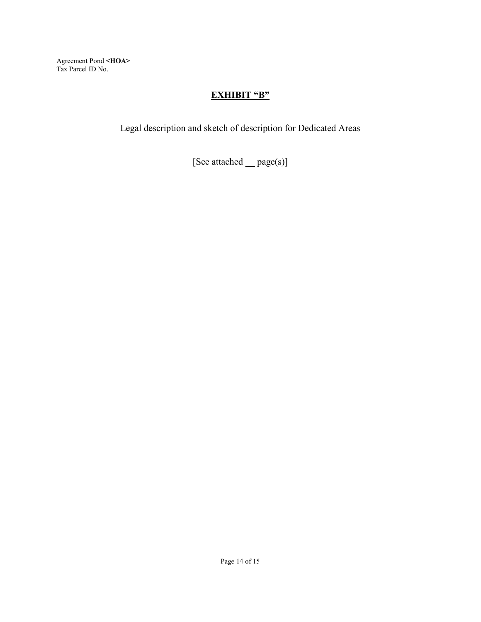## **EXHIBIT "B"**

Legal description and sketch of description for Dedicated Areas

[See attached **\_\_** page(s)]